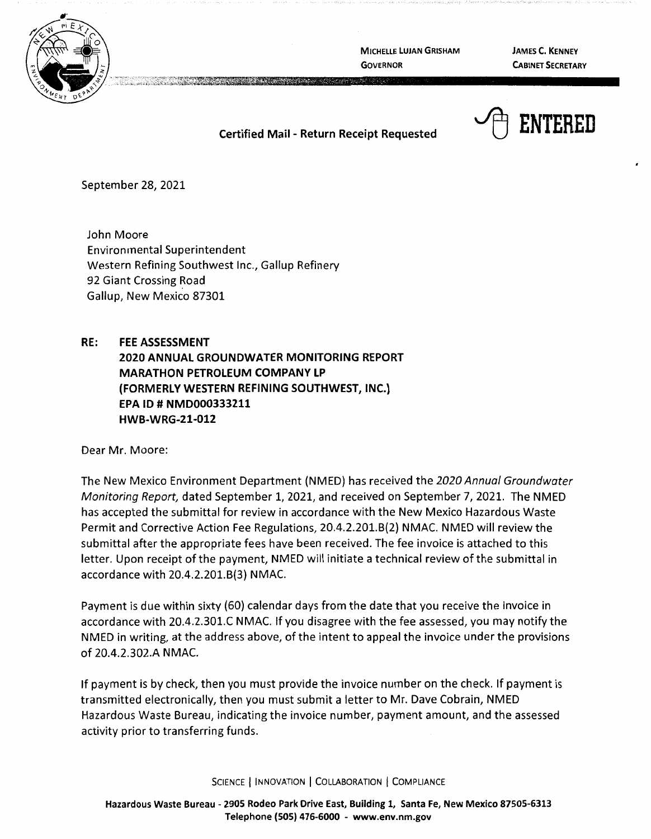

**MICHELLE LUJAN GRISHAM GOVERNOR** 

**JAMES C. KENNEY CABINET SECRETARY** 

~ **ENTERED** 

## **Certified Mail** - **Return Receipt Requested**

September 28, 2021

John Moore Environmental Superintendent Western Refining Southwest Inc., Gallup Refinery 92 Giant Crossing Road Gallup, New Mexico 87301

## **RE: FEE ASSESSMENT**

**2020 ANNUAL GROUNDWATER MONITORING REPORT MARATHON PETROLEUM COMPANY LP (FORMERLY WESTERN REFINING SOUTHWEST, INC.) EPA** ID # **NMD000333211 HWB-WRG-21-012** 

Dear Mr. Moore:

The New Mexico Environment Department (NMED) has received the 2020 Annual Groundwater Monitoring Report, dated September 1, 2021, and received on September 7, 2021. The NMED has accepted the submittal for review in accordance with the New Mexico Hazardous Waste Permit and Corrective Action Fee Regulations, 20.4.2.201.8(2) NMAC. NMED will review the submittal after the appropriate fees have been received. The fee invoice is attached to this letter. Upon receipt of the payment, NMED will initiate a technical review of the submittal in accordance with 20.4.2.201.8(3) NMAC.

Payment is due within sixty (60) calendar days from the date that you receive the invoice in accordance with 20.4.2.301.C NMAC. If you disagree with the fee assessed, you may notify the NMED in writing, at the address above, of the intent to appeal the invoice under the provisions of 20.4.2.302.A NMAC.

If payment is by check, then you must provide the invoice number on the check. If payment is transmitted electronically, then you must submit a letter to Mr. Dave Cobrain, NMED Hazardous Waste Bureau, indicating the invoice number, payment amount, and the assessed activity prior to transferring funds.

SCIENCE | INNOVATION | COLLABORATION | COMPLIANCE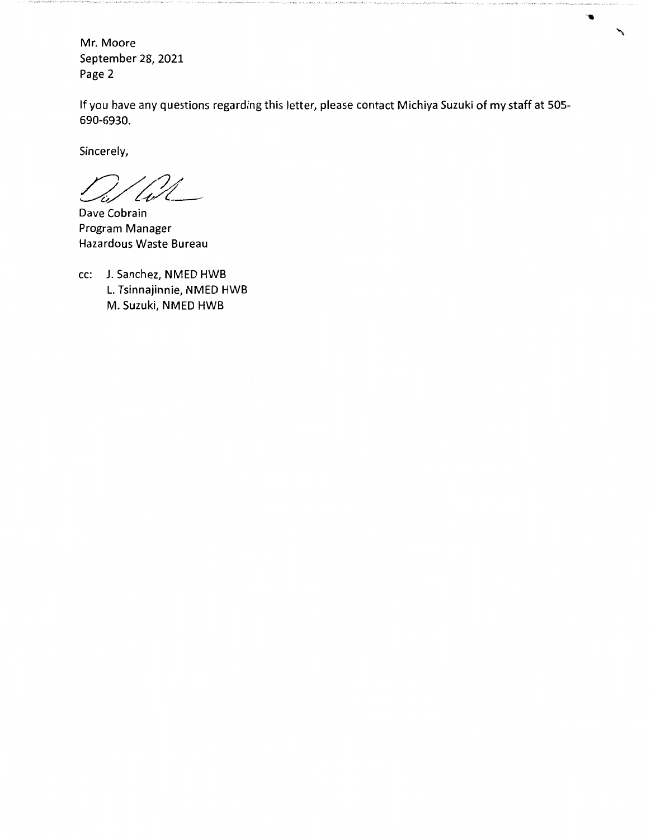Mr. Moore September 28, 2021 Page 2

If you have any questions regarding this letter, please contact Michiya Suzuki of my staff at 505- 690-6930.

╲

Sincerely,

/1,

Dave Cobrain Program Manager Hazardous Waste Bureau

cc: J. Sanchez, NMED HWB L. Tsinnajinnie, NMED HWB M. Suzuki, NMED HWB